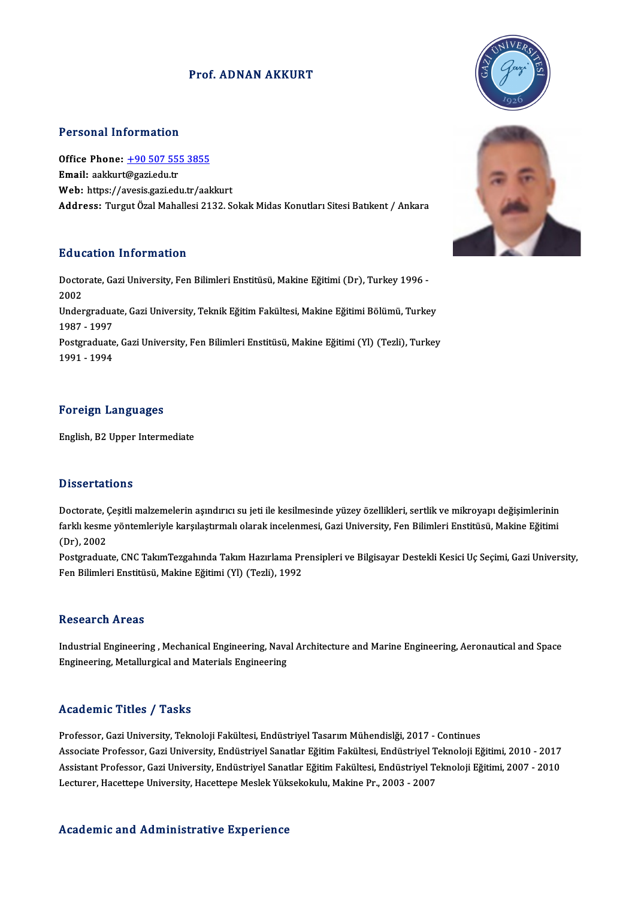### Prof. ADNAN AKKURT

### Personal Information

Personal Information<br>Office Phone: <u>+90 507 555 3855</u><br>Email: aaklaut@ssriedu.tr Tersonar mier mation<br>Office Phone: <u>+90 507 55!</u><br>Email: aakkurt@gazi.edu.tr Office Phone: <u>+90 507 555 3855</u><br>Email: aakkurt@gazi.edu.tr<br>Web: https://a[vesis.gazi.edu.tr/aak](tel:+90 507 555 3855)kurt<br>Addressy Turgut Ögal Mahallesi.2122 S Email: aakkurt@gazi.edu.tr<br>Web: https://avesis.gazi.edu.tr/aakkurt<br>Address: Turgut Özal Mahallesi 2132. Sokak Midas Konutları Sitesi Batıkent / Ankara

### Education Information

**Education Information**<br>Doctorate, Gazi University, Fen Bilimleri Enstitüsü, Makine Eğitimi (Dr), Turkey 1996 -<br>2002 Huut<br>Docto<br>2002<br><sup>Under</sup> Doctorate, Gazi University, Fen Bilimleri Enstitüsü, Makine Eğitimi (Dr), Turkey 1996 -<br>2002<br>Undergraduate, Gazi University, Teknik Eğitim Fakültesi, Makine Eğitimi Bölümü, Turkey<br>1997 - 1997 2002<br>Undergradua<br>1987 - 1997<br>Postareduate Undergraduate, Gazi University, Teknik Eğitim Fakültesi, Makine Eğitimi Bölümü, Turkey<br>1987 - 1997<br>Postgraduate, Gazi University, Fen Bilimleri Enstitüsü, Makine Eğitimi (Yl) (Tezli), Turkey<br>1991 - 1994 1987 - 1997<br>Postgraduate<br>1991 - 1994

### Foreign Languages

English,B2Upper Intermediate

### **Dissertations**

<mark>Dissertations</mark><br>Doctorate, Çeşitli malzemelerin aşındırıcı su jeti ile kesilmesinde yüzey özellikleri, sertlik ve mikroyapı değişimlerinin<br>farklı kesme yöntemleriyle karsılastırmalı olarak incelenmesi. Cezi University, Fen B faaast tatraffa<br>Doctorate, Çeşitli malzemelerin aşındırıcı su jeti ile kesilmesinde yüzey özellikleri, sertlik ve mikroyapı değişimlerinin<br>farklı kesme yöntemleriyle karşılaştırmalı olarak incelenmesi, Gazi University, F Doctorate, (<br>farklı kesme<br>(Dr), 2002<br>Postaradua: farklı kesme yöntemleriyle karşılaştırmalı olarak incelenmesi, Gazi University, Fen Bilimleri Enstitüsü, Makine Eğitimi<br>(Dr), 2002<br>Postgraduate, CNC TakımTezgahında Takım Hazırlama Prensipleri ve Bilgisayar Destekli Kesici

(Dr), 2002<br>Postgraduate, CNC TakımTezgahında Takım Hazırlama Pr<br>Fen Bilimleri Enstitüsü, Makine Eğitimi (Yl) (Tezli), 1992 Fen Bilimleri Enstitüsü, Makine Eğitimi (Yl) (Tezli), 1992<br>Research Areas

Research Areas<br>Industrial Engineering , Mechanical Engineering, Naval Architecture and Marine Engineering, Aeronautical and Space<br>Engineering, Metallurgical and Materials Engineering ressear en 711 0as<br>Industrial Engineering , Mechanical Engineering, Nava<br>Engineering, Metallurgical and Materials Engineering Engineering, Metallurgical and Materials Engineering<br>Academic Titles / Tasks

Professor, Gazi University, Teknoloji Fakültesi, Endüstriyel Tasarım Mühendislği, 2017 - Continues Associate Artice 7 Tubate<br>Professor, Gazi University, Teknoloji Fakültesi, Endüstriyel Tasarım Mühendislği, 2017 - Continues<br>Associate Professor, Gazi University, Endüstriyel Sanatlar Eğitim Fakültesi, Endüstriyel Teknoloj Professor, Gazi University, Teknoloji Fakültesi, Endüstriyel Tasarım Mühendislği, 2017 - Continues<br>Associate Professor, Gazi University, Endüstriyel Sanatlar Eğitim Fakültesi, Endüstriyel Teknoloji Eğitimi, 2010 - 2017<br>Ass Associate Professor, Gazi University, Endüstriyel Sanatlar Eğitim Fakültesi, Endüstriyel T<br>Assistant Professor, Gazi University, Endüstriyel Sanatlar Eğitim Fakültesi, Endüstriyel Te<br>Lecturer, Hacettepe University, Hacette Lecturer, Hacettepe University, Hacettepe Meslek Yüksekokulu, Makine Pr., 2003 - 2007<br>Academic and Administrative Experience



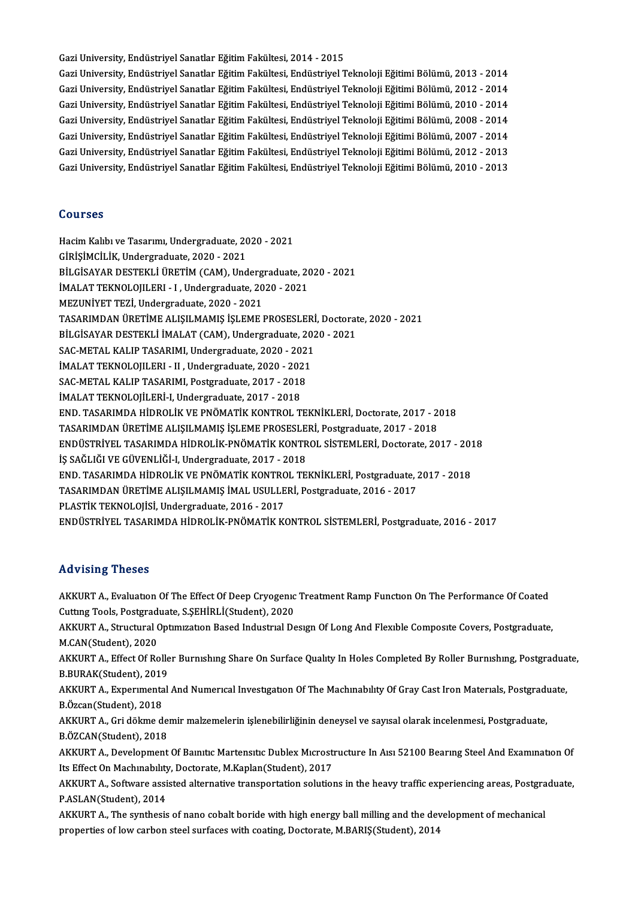Gazi University, Endüstriyel Sanatlar Eğitim Fakültesi, 2014 - 2015 Gazi University, Endüstriyel Sanatlar Eğitim Fakültesi, 2014 - 2015<br>Gazi University, Endüstriyel Sanatlar Eğitim Fakültesi, Endüstriyel Teknoloji Eğitimi Bölümü, 2013 - 2014<br>Cari University, Endüstriyel Sanatlar Eğitim Fak Gazi University, Endüstriyel Sanatlar Eğitim Fakültesi, 2014 - 2015<br>Gazi University, Endüstriyel Sanatlar Eğitim Fakültesi, Endüstriyel Teknoloji Eğitimi Bölümü, 2013 - 2014<br>Gazi University, Endüstriyel Sanatlar Eğitim Fak Gazi University, Endüstriyel Sanatlar Eğitim Fakültesi, Endüstriyel Teknoloji Eğitimi Bölümü, 2013 - 2014<br>Gazi University, Endüstriyel Sanatlar Eğitim Fakültesi, Endüstriyel Teknoloji Eğitimi Bölümü, 2012 - 2014<br>Gazi Unive Gazi University, Endüstriyel Sanatlar Eğitim Fakültesi, Endüstriyel Teknoloji Eğitimi Bölümü, 2012 - 2014<br>Gazi University, Endüstriyel Sanatlar Eğitim Fakültesi, Endüstriyel Teknoloji Eğitimi Bölümü, 2010 - 2014<br>Gazi Unive

Gazi University, Endüstriyel Sanatlar Eğitim Fakültesi, Endüstriyel Teknoloji Eğitimi Bölümü, 2010 - 2014<br>Gazi University, Endüstriyel Sanatlar Eğitim Fakültesi, Endüstriyel Teknoloji Eğitimi Bölümü, 2008 - 2014<br>Gazi Unive Gazi University, Endüstriyel Sanatlar Eğitim Fakültesi, Endüstriyel Teknoloji Eğitimi Bölümü, 2008 - 2014<br>Gazi University, Endüstriyel Sanatlar Eğitim Fakültesi, Endüstriyel Teknoloji Eğitimi Bölümü, 2007 - 2014<br>Gazi Unive Gazi University, Endüstriyel Sanatlar Eğitim Fakültesi, Endüstriyel Teknoloji Eğitimi Bölümü, 2007 - 2014<br>Gazi University, Endüstriyel Sanatlar Eğitim Fakültesi, Endüstriyel Teknoloji Eğitimi Bölümü, 2012 - 2013<br>Gazi Unive Gazi University, Endüstriyel Sanatlar Eğitim Fakültesi, Endüstriyel Teknoloji Eğitimi Bölümü, 2010 - 2013<br>Courses

Hacim Kalıbı ve Tasarımı, Undergraduate, 2020 - 2021 GİRİŞİMCİLİK,Undergraduate,2020 -2021 Hacim Kalıbı ve Tasarımı, Undergraduate, 2020 - 2021<br>GİRİŞİMCİLİK, Undergraduate, 2020 - 2021<br>BİLGİSAYAR DESTEKLİ ÜRETİM (CAM), Undergraduate, 2020 - 2021<br>İMALAT TEKNOLOULERL - LUndergraduata, 2020 - 2021 GİRİŞİMCİLİK, Undergraduate, 2020 - 2021<br>BİLGİSAYAR DESTEKLİ ÜRETİM (CAM), Undergraduate, 20<br>İMALAT TEKNOLOJILERI - I , Undergraduate, 2020 - 2021<br>MEZUNİVET TEZİ Undergraduate, 2020 - 2021 İMALAT TEKNOLOJILERI - I , Undergraduate, 2020 - 2021<br>MEZUNİYET TEZİ, Undergraduate, 2020 - 2021 İMALAT TEKNOLOJILERI - I , Undergraduate, 2020 - 2021<br>MEZUNİYET TEZİ, Undergraduate, 2020 - 2021<br>TASARIMDAN ÜRETİME ALIŞILMAMIŞ İŞLEME PROSESLERİ, Doctorate, 2020 - 2021<br>PU ÇİSAYAR DESTEKLİ İMALAT (CAM), Undergraduata 2020 MEZUNİYET TEZİ, Undergraduate, 2020 - 2021<br>TASARIMDAN ÜRETİME ALIŞILMAMIŞ İŞLEME PROSESLERİ, Doctorat<br>BİLGİSAYAR DESTEKLİ İMALAT (CAM), Undergraduate, 2020 - 2021<br>SAC METAL KALIR TASARIMI, Undergraduate, 2020, 2021 TASARIMDAN ÜRETİME ALIŞILMAMIŞ İŞLEME PROSESLERİ<br>BİLGİSAYAR DESTEKLİ İMALAT (CAM), Undergraduate, 202<br>SAC-METAL KALIP TASARIMI, Undergraduate, 2020 - 2021<br>İMALAT TEKNOLOULERL, U. Undergraduate, 2020 - 2021 BİLGİSAYAR DESTEKLİ İMALAT (CAM), Undergraduate, 2020 - 2021<br>SAC-METAL KALIP TASARIMI, Undergraduate, 2020 - 2021<br>İMALAT TEKNOLOJILERI - II , Undergraduate, 2020 - 2021<br>SAC-METAL KALIP TASARIMI, Postgraduate, 2017 - 2018 SAC-METAL KALIP TASARIMI, Undergraduate, 2020 - 2021<br>IMALAT TEKNOLOJILERI - II , Undergraduate, 2020 - 2021<br>SAC-METAL KALIP TASARIMI, Postgraduate, 2017 - 2018<br>IMALAT TEKNOLOJILERI-I, Undergraduate, 2017 - 2018 İMALAT TEKNOLOJILERI - II, Undergraduate, 2020 - 2021 SAC-METAL KALIP TASARIMI, Postgraduate, 2017 - 2018<br>İMALAT TEKNOLOJİLERİ-I, Undergraduate, 2017 - 2018<br>END. TASARIMDA HİDROLİK VE PNÖMATİK KONTROL TEKNİKLERİ, Doctorate, 2017 - 2018<br>TASARIMDAN ÜRETİME ALISU MAMIS İSLEME PR İMALAT TEKNOLOJİLERİ-I, Undergraduate, 2017 - 2018<br>END. TASARIMDA HİDROLİK VE PNÖMATİK KONTROL TEKNİKLERİ, Doctorate, 2017 - 2<br>TASARIMDAN ÜRETİME ALIŞILMAMIŞ İŞLEME PROSESLERİ, Postgraduate, 2017 - 2018<br>ENDÜSTRİVEL TASARIM END. TASARIMDA HİDROLİK VE PNÖMATİK KONTROL TEKNİKLERİ, Doctorate, 2017 - 2018<br>TASARIMDAN ÜRETİME ALIŞILMAMIŞ İŞLEME PROSESLERİ, Postgraduate, 2017 - 2018<br>ENDÜSTRİYEL TASARIMDA HİDROLİK-PNÖMATİK KONTROL SİSTEMLERİ, Doctora TASARIMDAN ÜRETİME ALIŞILMAMIŞ İŞLEME PROSESLERİ, Postgraduate, 2017 - 2018<br>ENDÜSTRİYEL TASARIMDA HİDROLİK-PNÖMATİK KONTROL SİSTEMLERİ, Doctorate, 20<br>İŞ SAĞLIĞI VE GÜVENLİĞİ-I, Undergraduate, 2017 - 2018 ENDÜSTRİYEL TASARIMDA HİDROLİK-PNÖMATİK KONTROL SİSTEMLERİ, Doctorate, 2017 - 201<br>İŞ SAĞLIĞI VE GÜVENLİĞİ-I, Undergraduate, 2017 - 2018<br>END. TASARIMDA HİDROLİK VE PNÖMATİK KONTROL TEKNİKLERİ, Postgraduate, 2017 - 2018<br>TASA END. TASARIMDA HİDROLİK VE PNÖMATİK KONTROL TEKNİKLERİ, Postgraduate, 2017 - 2018<br>TASARIMDAN ÜRETİME ALIŞILMAMIŞ İMAL USULLERİ, Postgraduate, 2016 - 2017 PLASTİK TEKNOLOJİSİ, Undergraduate, 2016 - 2017 ENDÜSTRİYEL TASARIMDAHİDROLİK-PNÖMATİKKONTROL SİSTEMLERİ,Postgraduate,2016 -2017

### Advising Theses

AKKURT A., Evaluation Of The Effect Of Deep Cryogenic Treatment Ramp Function On The Performance Of Coated TER VISING I NOOCE<br>AKKURT A., Evaluation Of The Effect Of Deep Cryogenic<br>Cutting Tools, Postgraduate, S.ŞEHİRLİ(Student), 2020<br>AKKURT A. Structural Optimization Based Industrial De

AKKURT A., Structural Optimization Based Industrial Design Of Long And Flexible Composite Covers, Postgraduate,<br>M.CAN(Student), 2020 Cutting Tools, Postgrad<br>AKKURT A., Structural (<br>M.CAN(Student), 2020<br>AKKUPT A., Effect Of Bo AKKURT A., Structural Optimization Based Industrial Design Of Long And Flexible Composite Covers, Postgraduate,<br>M.CAN(Student), 2020<br>AKKURT A., Effect Of Roller Burnishing Share On Surface Quality In Holes Completed By Rol

M.CAN(Student), 2020<br>AKKURT A., Effect Of Rolle<br>B.BURAK(Student), 2019<br>AKKURT A. Evnorwantel AKKURT A., Effect Of Roller Burnishing Share On Surface Quality In Holes Completed By Roller Burnishing, Postgradua<br>B.BURAK(Student), 2019<br>AKKURT A., Experimental And Numerical Investigation Of The Machinability Of Gray Ca

B.BURAK(Student), 2019<br>AKKURT A., Experimental And Numerical Investigation Of The Machinability Of Gray Cast Iron Materials, Postgradi<br>B.Özcan(Student), 2018<br>AKKURT A., Gri dökme demir malzemelerin islenebilirliğinin deney AKKURT A., Experimental And Numerical Investigation Of The Machinability Of Gray Cast Iron Materials, Postgraduate,<br>B.Özcan(Student), 2018<br>AKKURT A., Gri dökme demir malzemelerin işlenebilirliğinin deneysel ve sayısal olar B.ÖZCAN(Student),2018

AKKURT A., Gri dökme demir malzemelerin işlenebilirliğinin deneysel ve sayısal olarak incelenmesi, Postgraduate,<br>B.ÖZCAN(Student), 2018<br>AKKURT A., Development Of Baınıtıc Martensıtıc Dublex Mıcrostructure In Aısı 52100 Bea

B.ÖZCAN(Student), 2018<br>AKKURT A., Development Of Bamitic Martensitic Dublex Microsti<br>Its Effect On Machinability, Doctorate, M.Kaplan(Student), 2017<br>AKKURT A. Softunne essisted alternative transportation solution AKKURT A., Development Of Baınıtıc Martensitic Dublex Microstructure In Aisi 52100 Bearing Steel And Examination Of<br>Its Effect On Machinability, Doctorate, M.Kaplan(Student), 2017<br>AKKURT A., Software assisted alternative t

Its Effect On Machmability, Doctorate, M.Kaplan(Student), 2017<br>AKKURT A., Software assisted alternative transportation solutions in the heavy traffic experiencing areas, Postgraduate,<br>P.ASLAN(Student), 2014 AKKURT A., Software assisted alternative transportation solutions in the heavy traffic experiencing areas, Postgra<br>P.ASLAN(Student), 2014<br>AKKURT A., The synthesis of nano cobalt boride with high energy ball milling and the

P.ASLAN(Student), 2014<br>AKKURT A., The synthesis of nano cobalt boride with high energy ball milling and the dev<br>properties of low carbon steel surfaces with coating, Doctorate, M.BARIŞ(Student), 2014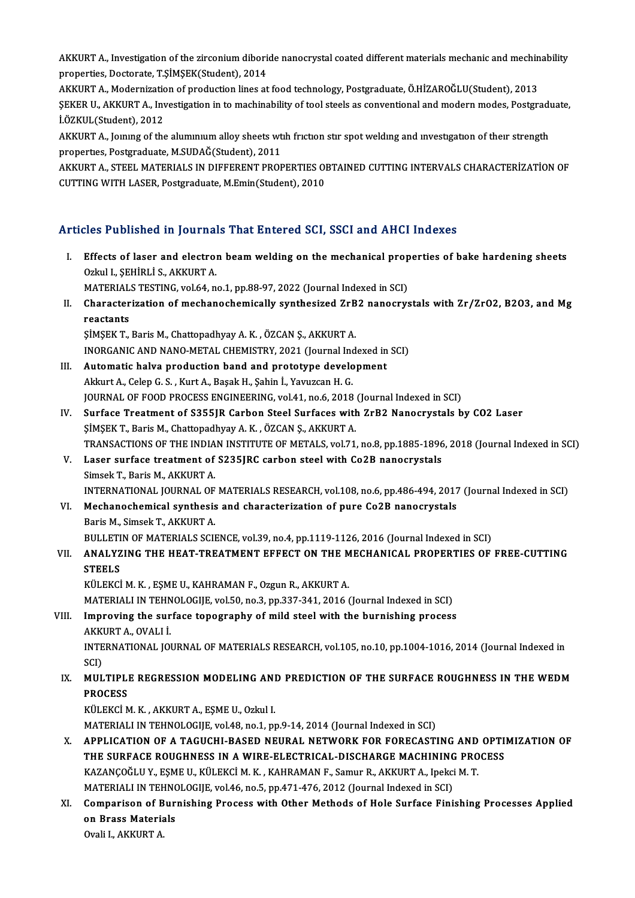AKKURT A., Investigation of the zirconium diboride nanocrystal coated different materials mechanic and mechinability<br>Prepertiss Desterate TSİMSEK(Student), 2014 AKKURT A., Investigation of the zirconium dibori<br>properties, Doctorate, T.ŞİMŞEK(Student), 2014<br>AKKURT A., Modernization of production lines at AKKURT A., Investigation of the zirconium diboride nanocrystal coated different materials mechanic and mechin<br>properties, Doctorate, T.ŞİMŞEK(Student), 2014<br>AKKURT A., Modernization of production lines at food technology,

properties, Doctorate, T.ŞİMŞEK(Student), 2014<br>AKKURT A., Modernization of production lines at food technology, Postgraduate, Ö.HİZAROĞLU(Student), 2013<br>ŞEKER U., AKKURT A., Investigation in to machinability of tool steels AKKURT A., Modernizatic<br>ŞEKER U., AKKURT A., Inv<br>İ.ÖZKUL(Student), 2012<br>AKKURT A. Jomma of the ŞEKER U., AKKURT A., Investigation in to machinability of tool steels as conventional and modern modes, Postgradı<br>İ.ÖZKUL(Student), 2012<br>AKKURT A., Joınıng of the alumınıum alloy sheets wth frıctıon stır spot welding and i

İ.ÖZKUL(Student), 2012<br>AKKURT A., Joınıng of the alumınıum alloy sheets wtih friction stir spot welding and investigation of their strength<br>properties, Postgraduate, M.SUDAĞ(Student), 2011 AKKURT A., Jommg of the alummum alloy sheets wth friction stir spot welding and investigation of their strength<br>properties, Postgraduate, M.SUDAĞ(Student), 2011<br>AKKURT A., STEEL MATERIALS IN DIFFERENT PROPERTIES OBTAINED C

properties, Postgraduate, M.SUDAĞ(Student), 2011<br>AKKURT A., STEEL MATERIALS IN DIFFERENT PROPERTIES OI<br>CUTTING WITH LASER, Postgraduate, M.Emin(Student), 2010

# CUTTING WITH LASER, Postgraduate, M.Emin(Student), 2010<br>Articles Published in Journals That Entered SCI, SSCI and AHCI Indexes

rticles Published in Journals That Entered SCI, SSCI and AHCI Indexes<br>I. Effects of laser and electron beam welding on the mechanical properties of bake hardening sheets<br>Orkyl I. Stylin is Arrupt A SEE T ABHBHEA III JOATHA.<br>Effects of laser and electrol<br>Ozkul I., ŞEHİRLİ S., AKKURT A. Ozkul I., ŞEHİRLİ S., AKKURT A.<br>MATERIALS TESTING, vol.64, no.1, pp.88-97, 2022 (Journal Indexed in SCI) Ozkul I., ŞEHİRLİ S., AKKURT A.<br>MATERIALS TESTING, vol.64, no.1, pp.88-97, 2022 (Journal Indexed in SCI)<br>II. Characterization of mechanochemically synthesized ZrB2 nanocrystals with Zr/ZrO2, B2O3, and Mg<br>reacterization MATERIAL<br>Character<br>reactants<br>siMSEK T Characterization of mechanochemically synthesized ZrB<br>reactants<br>ŞİMŞEK T., Baris M., Chattopadhyay A. K. , ÖZCAN Ş., AKKURT A.<br>INOPCANIC AND NANO METAL GUEMISTRY 2021 (Jaurral Ind reactants<br>ŞİMŞEK T., Baris M., Chattopadhyay A. K. , ÖZCAN Ş., AKKURT A.<br>INORGANIC AND NANO-METAL CHEMISTRY, 2021 (Journal Indexed in SCI)<br>Automatis halya produstion band and prototyne development ŞİMŞEK T., Baris M., Chattopadhyay A. K. , ÖZCAN Ş., AKKURT A.<br>INORGANIC AND NANO-METAL CHEMISTRY, 2021 (Journal Indexed in<br>III. Automatic halva production band and prototype development<br>Akkurt A., Celep G. S. , Kurt A INORGANIC AND NANO-METAL CHEMISTRY, 2021 (Journal Incorporation hand and prototype develoment and prototype develoment and the serve of the serve of the serve of the serve of the serve of the serve of the serve of the serv Automatic halva production band and prototype development<br>Akkurt A., Celep G. S. , Kurt A., Başak H., Şahin İ., Yavuzcan H. G.<br>JOURNAL OF FOOD PROCESS ENGINEERING, vol.41, no.6, 2018 (Journal Indexed in SCI)<br>Surface Treatm IV. Surface Treatment of S355JR Carbon Steel Surfaces with ZrB2 Nanocrystals by CO2 Laser JOURNAL OF FOOD PROCESS ENGINEERING, vol.41, no.6, 2018<br>Surface Treatment of S355JR Carbon Steel Surfaces with<br>SIMSEK T., Baris M., Chattopadhyay A.K. , ÖZCAN S., AKKURT A.<br>TRANSACTIONS OF THE INDIAN INSTITUTE OF METALS .v TRANSACTIONS OF THE INDIAN INSTITUTE OF METALS, vol.71, no.8, pp.1885-1896, 2018 (Journal Indexed in SCI) SIMSEK T., Baris M., Chattopadhyay A. K. , ÖZCAN S., AKKURT A.<br>TRANSACTIONS OF THE INDIAN INSTITUTE OF METALS, vol.71, no.8, pp.1885-1896<br>V. Laser surface treatment of S235JRC carbon steel with Co2B nanocrystals<br>Simeek T. TRANSACTIONS OF THE INDIA<br>Laser surface treatment of<br>Simsek T., Baris M., AKKURT A.<br>INTERNATIONAL JOURNAL OF Simsek T., Baris M., AKKURT A.<br>INTERNATIONAL JOURNAL OF MATERIALS RESEARCH, vol.108, no.6, pp.486-494, 2017 (Journal Indexed in SCI) Simsek T., Baris M., AKKURT A.<br>INTERNATIONAL JOURNAL OF MATERIALS RESEARCH, vol.108, no.6, pp.486-494, 2017<br>VI. Mechanochemical synthesis and characterization of pure Co2B nanocrystals<br>Paris M. Simsek T. AKKURT A. INTERNATIONAL JOURNAL OF<br>Mechanochemical synthesis<br>Baris M., Simsek T., AKKURT A.<br>PULLETIN OF MATERIALS SCU Baris M., Simsek T., AKKURT A.<br>BULLETIN OF MATERIALS SCIENCE, vol.39, no.4, pp.1119-1126, 2016 (Journal Indexed in SCI)

## Baris M., Simsek T., AKKURT A.<br>BULLETIN OF MATERIALS SCIENCE, vol.39, no.4, pp.1119-1126, 2016 (Journal Indexed in SCI)<br>VII. ANALYZING THE HEAT-TREATMENT EFFECT ON THE MECHANICAL PROPERTIES OF FREE-CUTTING<br>STEELS BULLETI<br>ANALYZ<br>STEELS<br><sup>VÜLEVCI</sup>

STEELS<br>KÜLEKCİ M. K. , EŞME U., KAHRAMAN F., Ozgun R., AKKURT A.

STEELS<br>KÜLEKCİ M. K. , EŞME U., KAHRAMAN F., Ozgun R., AKKURT A.<br>MATERIALI IN TEHNOLOGIJE, vol.50, no.3, pp.337-341, 2016 (Journal Indexed in SCI)<br>Improving the surface tenegraphy of mild steel with the burnishing prosess

## KÜLEKCİ M. K., EŞME U., KAHRAMAN F., Ozgun R., AKKURT A.<br>MATERIALI IN TEHNOLOGIJE, vol.50, no.3, pp.337-341, 2016 (Journal Indexed in SCI)<br>VIII. Improving the surface topography of mild steel with the burnishing process<br>AK MATERIALI IN TEHN<br><mark>Improving the sur</mark><br>AKKURT A., OVALI İ.<br>INTERNATIONAL JOI Improving the surface topography of mild steel with the burnishing process<br>AKKURT A., OVALI İ.<br>INTERNATIONAL JOURNAL OF MATERIALS RESEARCH, vol.105, no.10, pp.1004-1016, 2014 (Journal Indexed in<br>SCD

AKKI<br>INTE<br>SCI)<br>MII INTERNATIONAL JOURNAL OF MATERIALS RESEARCH, vol.105, no.10, pp.1004-1016, 2014 (Journal Indexed in<br>SCI)<br>IX. MULTIPLE REGRESSION MODELING AND PREDICTION OF THE SURFACE ROUGHNESS IN THE WEDM<br>PROCESS

## SCI)<br><mark>MULTIPL</mark>I<br>PROCESS<br>KÜLEKÇİ M MULTIPLE REGRESSION MODELING ANI<br>PROCESS<br>KÜLEKCİ M. K. , AKKURT A., EŞME U., Ozkul I.<br>MATEPIALLIN TEHNOLOCUE vel 48-no 1-nı PROCESS<br>KÜLEKCİ M. K. , AKKURT A., EŞME U., Ozkul I.<br>MATERIALI IN TEHNOLOGIJE, vol.48, no.1, pp.9-14, 2014 (Journal Indexed in SCI)

- KÜLEKCİ M. K. , AKKURT A., EŞME U., Ozkul I.<br>MATERIALI IN TEHNOLOGIJE, vol.48, no.1, pp.9-14, 2014 (Journal Indexed in SCI)<br>X. APPLICATION OF A TAGUCHI-BASED NEURAL NETWORK FOR FORECASTING AND OPTIMIZATION OF MATERIALI IN TEHNOLOGIJE, vol48, no.1, pp.9-14, 2014 (Journal Indexed in SCI)<br>APPLICATION OF A TAGUCHI-BASED NEURAL NETWORK FOR FORECASTING AND OPTI<br>THE SURFACE ROUGHNESS IN A WIRE-ELECTRICAL-DISCHARGE MACHINING PROCESS<br>KA APPLICATION OF A TAGUCHI-BASED NEURAL NETWORK FOR FORECASTING AND<br>THE SURFACE ROUGHNESS IN A WIRE-ELECTRICAL-DISCHARGE MACHINING PRO<br>KAZANÇOĞLU Y., EŞME U., KÜLEKCİM. K., KAHRAMAN F., Samur R., AKKURT A., Ipekci M. T.<br>MATE THE SURFACE ROUGHNESS IN A WIRE-ELECTRICAL-DISCHARGE MACHINING PROCESS<br>KAZANÇOĞLU Y., EŞME U., KÜLEKCİ M. K. , KAHRAMAN F., Samur R., AKKURT A., Ipekci M. T.<br>MATERIALI IN TEHNOLOGIJE, vol.46, no.5, pp.471-476, 2012 (Journa KAZANÇOĞLU Y., EŞME U., KÜLEKCİ M. K. , KAHRAMAN F., Samur R., AKKURT A., Ipekci M. T.<br>MATERIALI IN TEHNOLOGIJE, vol.46, no.5, pp.471-476, 2012 (Journal Indexed in SCI)<br>XI. Comparison of Burnishing Process with Other Metho
- MATERIALI IN TEHNO<br>Comparison of Buri<br>on Brass Materials<br>Ovali LALVUPTA Comparison of B<br>on Brass Materia<br>Ovali I., AKKURT A.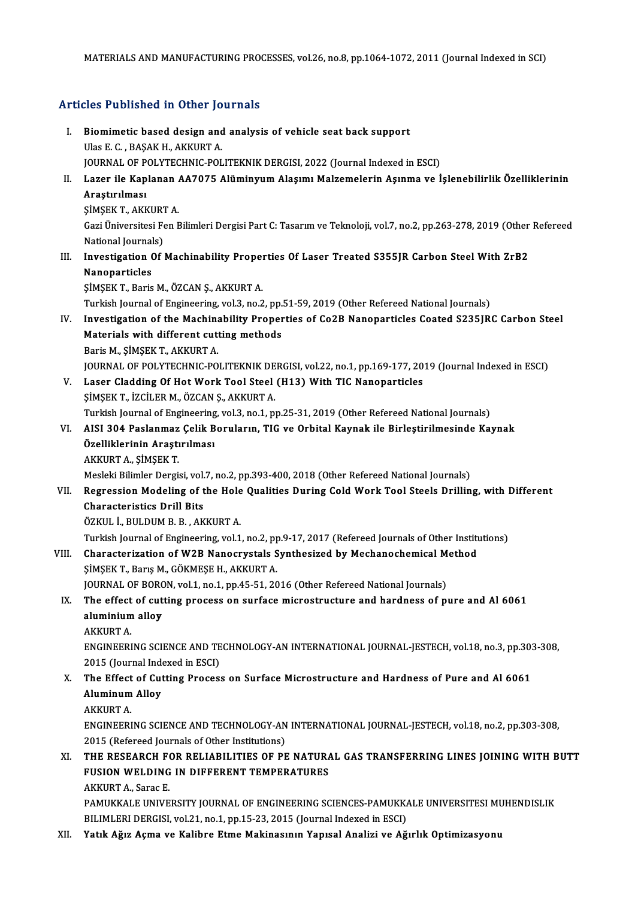## Articles Published in Other Journals

- rticles Published in Other Journals<br>I. Biomimetic based design and analysis of vehicle seat back support<br>Illas E.C. BASAK H. AKKUPT A Biomimetic based design and<br>Ulas E. C., BAŞAK H., AKKURT A.<br>JOUPNAL OF POLYTECHNIC POL Biomimetic based design and analysis of vehicle seat back support<br>Ulas E. C. , BAŞAK H., AKKURT A.<br>JOURNAL OF POLYTECHNIC-POLITEKNIK DERGISI, 2022 (Journal Indexed in ESCI)<br>Larer ile Kanlanan AA7075 Alüminuum Alasum: Malza Ulas E. C. , BAŞAK H., AKKURT A.<br>JOURNAL OF POLYTECHNIC-POLITEKNIK DERGISI, 2022 (Journal Indexed in ESCI)<br>II. Lazer ile Kaplanan AA7075 Alüminyum Alaşımı Malzemelerin Aşınma ve İşlenebilirlik Özelliklerinin<br>Arastırılma JOURNAL OF P<br>Lazer ile Kap<br>Araştırılması<br>simsev t. Avy Lazer ile Kaplanan<br>Araştırılması<br>ŞİMŞEK T., AKKURT A.<br>Cari Üniversitesi Fen E Araştırılması<br>ŞİMŞEK T., AKKURT A.<br>Gazi Üniversitesi Fen Bilimleri Dergisi Part C: Tasarım ve Teknoloji, vol.7, no.2, pp.263-278, 2019 (Other Refereed ŞİMŞEK T., AKKURT<br>Gazi Üniversitesi Fe<br>National Journals)<br>Investisation Of Gazi Üniversitesi Fen Bilimleri Dergisi Part C: Tasarım ve Teknoloji, vol.7, no.2, pp.263-278, 2019 (Other National Journals)<br>III. Investigation Of Machinability Properties Of Laser Treated S355JR Carbon Steel With ZrB2<br>Na National Journal<br>Investigation (<br>Nanoparticles<br>siMSEV T. Porio Investigation Of Machinability Proper<br>Nanoparticles<br>ŞİMŞEK T., Baris M., ÖZCAN Ş., AKKURT A.<br>Turkich Journal of Engineering vol 3-ne 3 Nanoparticles<br>ŞİMŞEK T., Baris M., ÖZCAN Ş., AKKURT A.<br>Turkish Journal of Engineering, vol.3, no.2, pp.51-59, 2019 (Other Refereed National Journals)<br>Investigation of the Machinebility Prenenties of Co2B Nanopartieles Coat SIMSEK T., Baris M., ÖZCAN S., AKKURT A.<br>Turkish Journal of Engineering, vol.3, no.2, pp.51-59, 2019 (Other Refereed National Journals)<br>IV. Investigation of the Machinability Properties of Co2B Nanoparticles Coated S235JRC Turkish Journal of Engineering, vol.3, no.2, pp.<br>Investigation of the Machinability Proper<br>Materials with different cutting methods<br>Parie M. SIMSEK T. AKKUPT A Investigation of the Machina<br>Materials with different cut<br>Baris M., ŞİMŞEK T., AKKURT A.<br>JOUPNAL OF POLYTECHNIC PO Materials with different cutting methods<br>Baris M., ŞİMŞEK T., AKKURT A.<br>JOURNAL OF POLYTECHNIC-POLITEKNIK DERGISI, vol.22, no.1, pp.169-177, 2019 (Journal Indexed in ESCI)<br>Laser Cladding Of Het Work Tool Steel (H13) With T Baris M., ŞİMŞEK T., AKKURT A.<br>JOURNAL OF POLYTECHNIC-POLITEKNIK DERGISI, vol.22, no.1, pp.169-177, 20<br>V. Laser Cladding Of Hot Work Tool Steel (H13) With TIC Nanoparticles<br>SIMSEK T. İZCU ER M. ÖZCAN S. AKKURT A. JOURNAL OF POLYTECHNIC-POLITEKNIK DE<br>Laser Cladding Of Hot Work Tool Steel<br>ŞİMŞEK T., İZCİLER M., ÖZCAN Ş., AKKURT A.<br>Turkich Journal of Engineering vol 3, no.1, n Laser Cladding Of Hot Work Tool Steel (H13) With TIC Nanoparticles<br>ŞİMŞEK T., İZCİLER M., ÖZCAN Ş., AKKURT A.<br>Turkish Journal of Engineering, vol.3, no.1, pp.25-31, 2019 (Other Refereed National Journals)<br>AISL 204 Boslanma ŞİMŞEK T., İZCİLER M., ÖZCAN Ş., AKKURT A.<br>Turkish Journal of Engineering, vol.3, no.1, pp.25-31, 2019 (Other Refereed National Journals)<br>VI. AISI 304 Paslanmaz Çelik Boruların, TIG ve Orbital Kaynak ile Birleştirilmes Turkish Journal of Engineering<br>AISI 304 Paslanmaz Çelik B<br>Özelliklerinin Araştırılması<br>AKKUPT A. SİMSEK T AKKURTA, ŞİMŞEKT. Mesleki Bilimler Dergisi, vol.7, no.2, pp.393-400, 2018 (Other Refereed National Journals) AKKURT A., ŞİMŞEK T.<br>Mesleki Bilimler Dergisi, vol.7, no.2, pp.393-400, 2018 (Other Refereed National Journals)<br>VII. Regression Modeling of the Hole Qualities During Cold Work Tool Steels Drilling, with Different<br>Chara Mesleki Bilimler Dergisi, vol.<br>Regression Modeling of t<br>Characteristics Drill Bits<br>ÖZKUL İ BULDIM B B. AK Regression Modeling of the Hole<br>Characteristics Drill Bits<br>ÖZKUL İ., BULDUM B. B. , AKKURT A.<br>Turkish Journal of Engineering vol 1 Characteristics Drill Bits<br>ÖZKUL İ., BULDUM B. B. , AKKURT A.<br>Turkish Journal of Engineering, vol.1, no.2, pp.9-17, 2017 (Refereed Journals of Other Institutions)<br>Characterisction of W2B Nanoewstale Synthesized by Mechanec ÖZKUL İ., BULDUM B. B. , AKKURT A.<br>Turkish Journal of Engineering, vol.1, no.2, pp.9-17, 2017 (Refereed Journals of Other Instit<br>VIII. Characterization of W2B Nanocrystals Synthesized by Mechanochemical Method<br>SİMSEK T., B Turkish Journal of Engineering, vol.1, no.2, pp<br>Characterization of W2B Nanocrystals S<br>SIMSEK T., Barış M., GÖKMESE H., AKKURT A.<br>JOUPNAL OF POPON vol.1, no.1, nn.45,51,30 Characterization of W2B Nanocrystals Synthesized by Mechanochemical M<br>SIMSEK T., Barış M., GÖKMESE H., AKKURT A.<br>JOURNAL OF BORON, vol.1, no.1, pp.45-51, 2016 (Other Refereed National Journals)<br>The effect of sutting preses SIMSEK T., Barış M., GÖKMESE H., AKKURT A.<br>JOURNAL OF BORON, vol.1, no.1, pp.45-51, 2016 (Other Refereed National Journals)<br>IX. The effect of cutting process on surface microstructure and hardness of pure and Al 6061<br>alumi **JOURNAL OF BORC**<br>The effect of cut<br>aluminium alloy<br>AKKUPT A The effect<br>aluminium<br>AKKURT A.<br>ENCINEERI aluminium alloy<br>AKKURT A.<br>ENGINEERING SCIENCE AND TECHNOLOGY-AN INTERNATIONAL JOURNAL-JESTECH, vol.18, no.3, pp.303-308,<br>2015 (Journal Indoxed in ESC). AKKURT A.<br>ENGINEERING SCIENCE AND TE<br>2015 (Journal Indexed in ESCI)<br>The Effect of Cutting Process ENGINEERING SCIENCE AND TECHNOLOGY-AN INTERNATIONAL JOURNAL-JESTECH, vol.18, no.3, pp.30:<br>2015 (Journal Indexed in ESCI)<br>X. The Effect of Cutting Process on Surface Microstructure and Hardness of Pure and Al 6061 2015 (Journal Inde<br>The Effect of Cut<br>Aluminum Alloy<br>AVVUPT A The Effect<br>Aluminum<br>AKKURT A.<br>ENCINEERI Aluminum Alloy<br>AKKURT A.<br>ENGINEERING SCIENCE AND TECHNOLOGY-AN INTERNATIONAL JOURNAL-JESTECH, vol.18, no.2, pp.303-308, 2015 (Refereed Journals of Other Institutions) ENGINEERING SCIENCE AND TECHNOLOGY-AN INTERNATIONAL JOURNAL-JESTECH, vol.18, no.2, pp.303-308,<br>2015 (Refereed Journals of Other Institutions)<br>XI. THE RESEARCH FOR RELIABILITIES OF PE NATURAL GAS TRANSFERRING LINES JOINING 2015 (Refereed Journals of Other Institutions)<br>THE RESEARCH FOR RELIABILITIES OF PE NATURA<br>FUSION WELDING IN DIFFERENT TEMPERATURES<br>AKKURT A. Sarge E THE RESEARCH F(<br>FUSION WELDING<br>AKKURT A., Sarac E.<br>BAMUYYALE UNIVE FUSION WELDING IN DIFFERENT TEMPERATURES<br>AKKURT A., Sarac E.<br>PAMUKKALE UNIVERSITY JOURNAL OF ENGINEERING SCIENCES-PAMUKKALE UNIVERSITESI MUHENDISLIK<br>PILIMI ERLDERGISL VAL31, Do.1, DD.15-32-2015 (Journal Indoved in ESC). AKKURT A., Sarac E.<br>PAMUKKALE UNIVERSITY JOURNAL OF ENGINEERING SCIENCES-PAMUKK.<br>BILIMLERI DERGISI, vol.21, no.1, pp.15-23, 2015 (Journal Indexed in ESCI)<br>Vatik Ağız Agma ve Kalibne Etme Makinesının Yanısal Analizi ve Ağ BILIMLERI DERGISI, vol.21, no.1, pp.15-23, 2015 (Journal Indexed in ESCI)<br>XII. Yatık Ağız Açma ve Kalibre Etme Makinasının Yapısal Analizi ve Ağırlık Optimizasyonu
-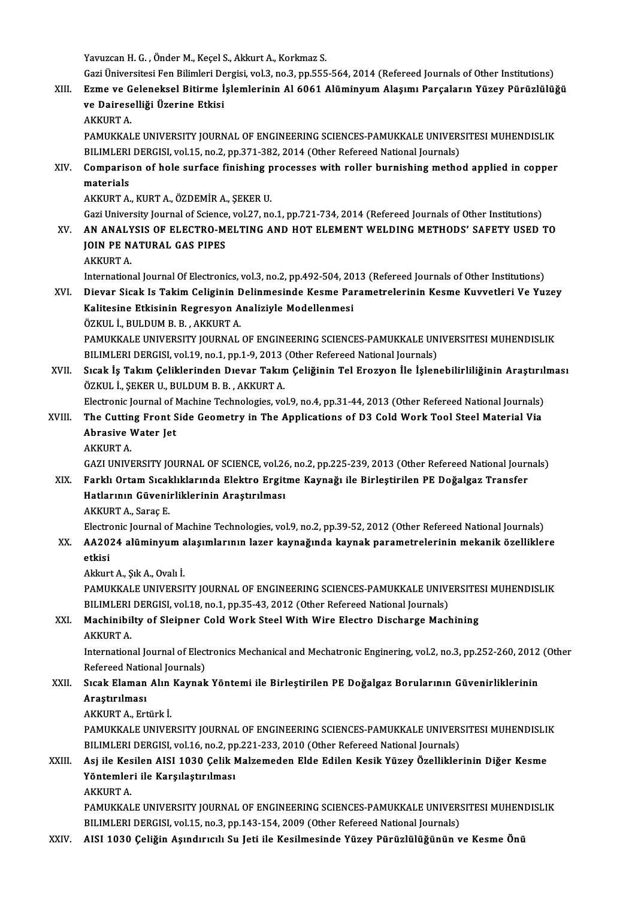Yavuzcan H. G., Önder M., Keçel S., Akkurt A., Korkmaz S.

Gazi Üniversitesi Fen Bilimleri Dergisi, vol.3, no.3, pp.555-564, 2014 (Refereed Journals of Other Institutions)

Yavuzcan H. G. , Önder M., Keçel S., Akkurt A., Korkmaz S.<br>Gazi Üniversitesi Fen Bilimleri Dergisi, vol.3, no.3, pp.555-564, 2014 (Refereed Journals of Other Institutions)<br>XIII. Ezme ve Geleneksel Bitirme İşlemlerinin Al 6 Gazi Üniversitesi Fen Bilimleri De<br>Ezme ve Geleneksel Bitirme İ<br>ve Daireselliği Üzerine Etkisi<br>AKKUPT A Ezme ve G<br>ve Dairese<br>AKKURT A.<br>PAMUKKAI ve Daireselliği Üzerine Etkisi<br>AKKURT A.<br>PAMUKKALE UNIVERSITY JOURNAL OF ENGINEERING SCIENCES-PAMUKKALE UNIVERSITESI MUHENDISLIK<br>PILIMLERLDERCISL vol.15, no.2, nn.371,382, 2014 (Other Befereed National Jaurnale).

AKKURT A.<br>PAMUKKALE UNIVERSITY JOURNAL OF ENGINEERING SCIENCES-PAMUKKALE UNIVER:<br>BILIMLERI DERGISI, vol.15, no.2, pp.371-382, 2014 (Other Refereed National Journals)<br>Comparison of holo surface finishing processes with roll BILIMLERI DERGISI, vol.15, no.2, pp.371-382, 2014 (Other Refereed National Journals)

XIV. Comparison of hole surface finishing processes with roller burnishing method applied in copper materials

AKKURTA.,KURTA.,ÖZDEMİRA.,ŞEKERU.

materials<br>AKKURT A., KURT A., ÖZDEMİR A., ŞEKER U.<br>Gazi University Journal of Science, vol.27, no.1, pp.721-734, 2014 (Refereed Journals of Other Institutions)<br>AN ANALYSIS OF ELECTRO MELTING AND HOT ELEMENT WELDING METHODS

AKKURT A., KURT A., ÖZDEMİR A., ŞEKER U.<br>Gazi University Journal of Science, vol.27, no.1, pp.721-734, 2014 (Refereed Journals of Other Institutions)<br>XV. AN ANALYSIS OF ELECTRO-MELTING AND HOT ELEMENT WELDING METHODS' Gazi University Journal of Science<br>AN ANALYSIS OF ELECTRO-MI<br>JOIN PE NATURAL GAS PIPES AN ANALY<br>JOIN PE N.<br>AKKURT A.<br>Internation JOIN PE NATURAL GAS PIPES<br>AKKURT A.<br>International Journal Of Electronics, vol.3, no.2, pp.492-504, 2013 (Refereed Journals of Other Institutions)<br>Diever Sieck Je Tekim Colisinin Delinmesinde Kesme Peremetrelerinin Kesme Ku

- AKKURT A.<br>International Journal Of Electronics, vol.3, no.2, pp.492-504, 2013 (Refereed Journals of Other Institutions)<br>XVI. Dievar Sicak Is Takim Celiginin Delinmesinde Kesme Parametrelerinin Kesme Kuvvetleri Ve Yuzey International Journal Of Electronics, vol.3, no.2, pp.492-504, 20<br>Dievar Sicak Is Takim Celiginin Delinmesinde Kesme Pa:<br>Kalitesine Etkisinin Regresyon Analiziyle Modellenmesi<br>ÖZKUL İ BULDIM B B - AKKUPT A Dievar Sicak Is Takim Celiginin <mark>E</mark><br>Kalitesine Etkisinin Regresyon A<br>ÖZKUL İ., BULDUM B. B. , AKKURT A.<br>PAMUYYALE UNIVERSITY JOUPMAL Kalitesine Etkisinin Regresyon Analiziyle Modellenmesi<br>ÖZKUL İ., BULDUM B. B. , AKKURT A.<br>PAMUKKALE UNIVERSITY JOURNAL OF ENGINEERING SCIENCES-PAMUKKALE UNIVERSITESI MUHENDISLIK<br>PILIMI ERLDERCISL VAL19, Do.1, PD.1, 9, 2012 ÖZKUL İ., BULDUM B. B. , AKKURT A.<br>PAMUKKALE UNIVERSITY JOURNAL OF ENGINEERING SCIENCES-PAMUKKALE UN<br>BILIMLERI DERGISI, vol.19, no.1, pp.1-9, 2013 (Other Refereed National Journals)<br>Sisak İs Takım Caliklarından Diavar Takı BILIMLERI DERGISI, vol.19, no.1, pp.1-9, 2013 (Other Refereed National Journals)
- XVII. Sıcak İş Takım Çeliklerinden Dıevar Takım Çeliğinin Tel Erozyon İle İşlenebilirliliğinin Araştırılması<br>ÖZKUL İ., ŞEKER U., BULDUM B. B., AKKURT A. Sıcak İş Takım Çeliklerinden Dıevar Takım Çeliğinin Tel Erozyon İle İşlenebilirliliğinin Araştırıl<br>ÖZKUL İ., ŞEKER U., BULDUM B. B. , AKKURT A.<br>Electronic Journal of Machine Technologies, vol.9, no.4, pp.31-44, 2013 (Other
- ÖZKUL İ., ŞEKER U., BULDUM B. B. , AKKURT A.<br>Electronic Journal of Machine Technologies, vol.9, no.4, pp.31-44, 2013 (Other Refereed National Journals)<br>XVIII. The Cutting Front Side Geometry in The Applications of D3 C Electronic Journal of M<br>The Cutting Front S<br>Abrasive Water Jet<br>AFFIDT A The Cuttin<br>Abrasive V<br>AKKURT A.<br>CAZUINIVI Abrasive Water Jet<br>AKKURT A.<br>GAZI UNIVERSITY JOURNAL OF SCIENCE, vol.26, no.2, pp.225-239, 2013 (Other Refereed National Journals)
	-

XIX. Farklı Ortam Sıcaklıklarında Elektro Ergitme Kaynağı ile Birleştirilen PE Doğalgaz Transfer Hatlarının Güvenirliklerinin Araştırılması AKKURT A., Saraç E. AKKURT A., Saraç E.<br>Electronic Journal of Machine Technologies, vol.9, no.2, pp.39-52, 2012 (Other Refereed National Journals)<br>XX. AA2024 alüminyum alaşımlarının lazer kaynağında kaynak parametrelerinin mekanik özellik

Electronic Journal of Machine Technologies, vol.9, no.2, pp.39-52, 2012 (Other Refereed National Journals)

- Electro<br>AA20:<br>etkisi AA2024 alüminyum a<br>etkisi<br>Akkurt A., Şık A., Ovalı İ.<br>PAMIKKALE UNIVERSI
	-

etkisi<br>Akkurt A., Şık A., Ovalı İ.<br>PAMUKKALE UNIVERSITY JOURNAL OF ENGINEERING SCIENCES-PAMUKKALE UNIVERSITESI MUHENDISLIK<br>BU IMLERLDERGISL vol.18. no.1. nn 35.43. 3013 (Other Refereed National Jaurnale) Akkurt A., Şık A., Ovalı İ.<br>PAMUKKALE UNIVERSITY JOURNAL OF ENGINEERING SCIENCES-PAMUKKALE UNIVI<br>BILIMLERI DERGISI, vol.18, no.1, pp.35-43, 2012 (Other Refereed National Journals)<br>Mashinibilty of Slainnar Gold Work Stool W PAMUKKALE UNIVERSITY JOURNAL OF ENGINEERING SCIENCES-PAMUKKALE UNIVERSITE:<br>BILIMLERI DERGISI, vol.18, no.1, pp.35-43, 2012 (Other Refereed National Journals)<br>XXI. Machinibilty of Sleipner Cold Work Steel With Wire Electro

## BILIMLERI DERGISI, vol.18, no.1, pp.35-43, 2012 (Other Refereed National Journals)<br>XXI. Machinibilty of Sleipner Cold Work Steel With Wire Electro Discharge Machining<br>AKKURT A. Machinibilty of Sleipner Cold Work Steel With Wire Electro Discharge Machining<br>AKKURT A.<br>International Journal of Electronics Mechanical and Mechatronic Enginering, vol.2, no.3, pp.252-260, 2012 (Other<br>Refereed National Jo

AKKURT A.<br>International Journal of Elect<br>Refereed National Journals)<br>Sisak Elaman, Alin Kaunak International Journal of Electronics Mechanical and Mechatronic Enginering, vol.2, no.3, pp.252-260, 2012<br>Refereed National Journals)<br>XXII. Sıcak Elaman Alın Kaynak Yöntemi ile Birleştirilen PE Doğalgaz Borularının Güvenir

## Refereed Natio<br>Sıcak Elaman<br>Araştırılması<br>AKKUPTA Ert Sı<mark>cak Elaman Alın</mark><br>Araştırılması<br>AKKURT A., Ertürk İ.<br>PAMUKKALE UNIVEL

Araştırılması<br>AKKURT A., Ertürk İ.<br>PAMUKKALE UNIVERSITY JOURNAL OF ENGINEERING SCIENCES-PAMUKKALE UNIVERSITESI MUHENDISLIK<br>PU IMLERLDERCISL VAL16, De 2, PP 331-333-3010 (Other Refereed National Jaurnale). AKKURT A., Ertürk İ.<br>PAMUKKALE UNIVERSITY JOURNAL OF ENGINEERING SCIENCES-PAMUKKALE UNIVER:<br>BILIMLERI DERGISI, vol.16, no.2, pp.221-233, 2010 (Other Refereed National Journals)<br>Asi ile Kesilen AISI 1930 Celik Malzemeden El PAMUKKALE UNIVERSITY JOURNAL OF ENGINEERING SCIENCES-PAMUKKALE UNIVERSITESI MUHENDISLI<br>BILIMLERI DERGISI, vol.16, no.2, pp.221-233, 2010 (Other Refereed National Journals)<br>XXIII. Asj ile Kesilen AISI 1030 Çelik Malzemeden

## BILIMLERI DERGISI, vol.16, no.2, pp.221-233, 2010 (Other Refereed National Journals)<br>Asj ile Kesilen AISI 1030 Çelik Malzemeden Elde Edilen Kesik Yüzey Özellikleı<br>Yöntemleri ile Karşılaştırılması<br>AKKURT A. Asj ile Kes<br>Yöntemler<br>AKKURT A.<br>PAMUKKAI

Yöntemleri ile Karşılaştırılması<br>AKKURT A.<br>PAMUKKALE UNIVERSITY JOURNAL OF ENGINEERING SCIENCES-PAMUKKALE UNIVERSITESI MUHENDISLIK<br>PILIMLERLDERGISL vol.15, no.2, nn.143,154, 2000 (Other Refereed National Jaurnale). AKKURT A.<br>PAMUKKALE UNIVERSITY JOURNAL OF ENGINEERING SCIENCES-PAMUKKALE UNIVER:<br>BILIMLERI DERGISI, vol.15, no.3, pp.143-154, 2009 (Other Refereed National Journals)<br>AISL 1030 Coližin, Asundungul, Su. Leti ile Kosilmosinde

BILIMLERI DERGISI, vol.15, no.3, pp.143-154, 2009 (Other Refereed National Journals)<br>XXIV. AISI 1030 Çeliğin Aşındırıcılı Su Jeti ile Kesilmesinde Yüzey Pürüzlülüğünün ve Kesme Önü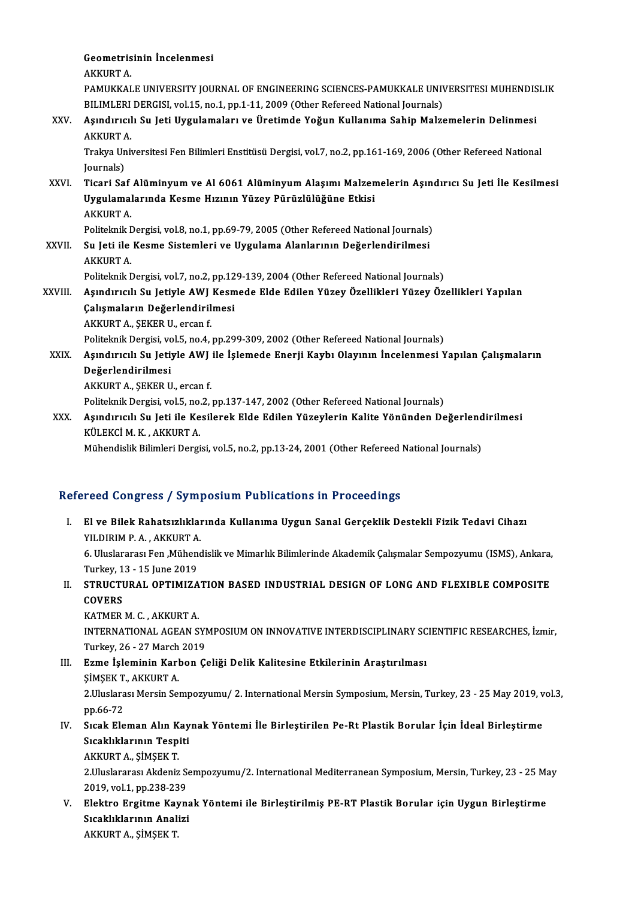Geometrisinin İncelenmesi **Geometris<br>AKKURT A.<br>PAMUKKAI** Geometrisinin İncelenmesi<br>AKKURT A.<br>PAMUKKALE UNIVERSITY JOURNAL OF ENGINEERING SCIENCES-PAMUKKALE UNIVERSITESI MUHENDISLIK<br>PILIMLERLDERGISL VAL15, no.1, nn.1, 11, 2000 (Othar Befareed National Jaurnala) AKKURT A.<br>PAMUKKALE UNIVERSITY JOURNAL OF ENGINEERING SCIENCES-PAMUKKALE UNIV<br>BILIMLERI DERGISI, vol.15, no.1, pp.1-11, 2009 (Other Refereed National Journals)<br>Asındırısılı Su Joti Husulamaları ve Ünetimde Yağıın Kullarıma XXV. Aşındırıcılı Su Jeti Uygulamaları ve Üretimde Yoğun Kullanıma Sahip Malzemelerin Delinmesi<br>AKKURT A. BILIMLERI DERGISI, vol.15, no.1, pp.1-11, 2009 (Other Refereed National Journals) Aşındırıcılı Su Jeti Uygulamaları ve Üretimde Yoğun Kullanıma Sahip Malzemelerin Delinmesi<br>AKKURT A.<br>Trakya Universitesi Fen Bilimleri Enstitüsü Dergisi, vol.7, no.2, pp.161-169, 2006 (Other Refereed National<br>Journals) AKKURT *I*<br>Trakya Un<br>Journals)<br>Ticari Sa Journals)<br>XXVI. Ticari Saf Alüminyum ve Al 6061 Alüminyum Alaşımı Malzemelerin Aşındırıcı Su Jeti İle Kesilmesi Journals)<br>Ticari Saf Alüminyum ve Al 6061 Alüminyum Alaşımı Malzen<br>Uygulamalarında Kesme Hızının Yüzey Pürüzlülüğüne Etkisi<br>AKKURT A Ticari Saf<br>Uygulamal<br>AKKURT A.<br>Politelmik I AKKURT A.<br>Politeknik Dergisi, vol.8, no.1, pp.69-79, 2005 (Other Refereed National Journals) AKKURT A.<br>Politeknik Dergisi, vol.8, no.1, pp.69-79, 2005 (Other Refereed National Journals)<br>XXVII. Su Jeti ile Kesme Sistemleri ve Uygulama Alanlarının Değerlendirilmesi<br>AKKURT A Politeknik I<br><mark>Su Jeti ile</mark><br>AKKURT A.<br>Politeknik I Su Jeti ile Kesme Sistemleri ve Uygulama Alanlarının Değerlendirilmesi<br>AKKURT A.<br>Politeknik Dergisi, vol.7, no.2, pp.129-139, 2004 (Other Refereed National Journals)<br>Asındınısılı Su Jetiyle AWI Kesmede Elde Edilen Vüzey Öz AKKURT A.<br>Politeknik Dergisi, vol.7, no.2, pp.129-139, 2004 (Other Refereed National Journals)<br>XXVIII. Aşındırıcılı Su Jetiyle AWJ Kesmede Elde Edilen Yüzey Özellikleri Yüzey Özellikleri Yapılan<br>Calamaların Değerlendirilme Politeknik Dergisi, vol.7, no.2, pp.12<br>Aşındırıcılı Su Jetiyle AWJ Kesm<br>Çalışmaların Değerlendirilmesi<br>AKKUPT A. SEKER U. SESAR f Aşındırıcılı Su Jetiyle AWJ<br>Çalışmaların Değerlendiril<br>AKKURT A., ŞEKER U., ercan f.<br>Pelitelmik Dergisi .vel 5. ne 4. Çalışmaların Değerlendirilmesi<br>AKKURT A., ŞEKER U., ercan f.<br>Politeknik Dergisi, vol.5, no.4, pp.299-309, 2002 (Other Refereed National Journals) AKKURT A., ŞEKER U., ercan f.<br>Politeknik Dergisi, vol.5, no.4, pp.299-309, 2002 (Other Refereed National Journals)<br>XXIX. Aşındırıcılı Su Jetiyle AWJ ile İşlemede Enerji Kaybı Olayının İncelenmesi Yapılan Çalışmaların<br>D Politeknik Dergisi, vo<br>Aşındırıcılı Su Jeti:<br>Değerlendirilmesi<br>AKKUPT A. SEKEP U Aşındırıcılı Su Jetiyle AWJ<br>Değerlendirilmesi<br>AKKURT A., ŞEKER U., ercan f.<br>Politelmik Dergisi vel 5. no 3. D<mark>eğerlendirilmesi</mark><br>AKKURT A., ŞEKER U., ercan f.<br>Politeknik Dergisi, vol.5, no.2, pp.137-147, 2002 (Other Refereed National Journals)<br>Asındırısılı Su Jeti ile Kesilerek Elde Edilen Yüzeylerin Kelite Vönünden De AKKURT A., ŞEKER U., ercan f.<br>Politeknik Dergisi, vol.5, no.2, pp.137-147, 2002 (Other Refereed National Journals)<br>XXX. Aşındırıcılı Su Jeti ile Kesilerek Elde Edilen Yüzeylerin Kalite Yönünden Değerlendirilmesi<br>Kül Ekçi M Politeknik Dergisi, vol.5, no.<br>Aşındırıcılı Su Jeti ile Ke<br>KÜLEKCİ M. K. , AKKURT A.<br>Mühandialik Bilimlari Dargi Aşındırıcılı Su Jeti ile Kesilerek Elde Edilen Yüzeylerin Kalite Yönünden Değerlend<br>KÜLEKCİ M. K. , AKKURT A.<br>Mühendislik Bilimleri Dergisi, vol.5, no.2, pp.13-24, 2001 (Other Refereed National Journals)

Mühendislik Bilimleri Dergisi, vol.5, no.2, pp.13-24, 2001 (Other Refereed National Journals)<br>Refereed Congress / Symposium Publications in Proceedings

efereed Congress / Symposium Publications in Proceedings<br>I. El ve Bilek Rahatsızlıklarında Kullanıma Uygun Sanal Gerçeklik Destekli Fizik Tedavi Cihazı<br>XII DIBIM B.A. AKKURTA You dong coo y by m<sub>1</sub><br>El ve Bilek Rahatsızlıklaı<br>YILDIRIM P. A., AKKURT A. El ve Bilek Rahatsızlıklarında Kullanıma Uygun Sanal Gerçeklik Destekli Fizik Tedavi Cihazı<br>YILDIRIM P. A. , AKKURT A.<br>6. Uluslararası Fen ,Mühendislik ve Mimarlık Bilimlerinde Akademik Çalışmalar Sempozyumu (ISMS), Ankara **YILDIRIM P. A. , AKKURT A.<br>6. Uluslararası Fen ,Mühen<br>Turkey, 13 - 15 June 2019<br>STBUCTURAL ,OBTIMIZA** 6. Uluslararası Fen ,Mühendislik ve Mimarlık Bilimlerinde Akademik Çalışmalar Sempozyumu (ISMS), Ankara,<br>Turkey, 13 - 15 June 2019<br>II. STRUCTURAL OPTIMIZATION BASED INDUSTRIAL DESIGN OF LONG AND FLEXIBLE COMPOSITE<br>COVERS Turkey, 1<br>STRUCTI<br>COVERS<br>KATMEP STRUCTURAL OPTIMIZA<br>COVERS<br>KATMER M. C. , AKKURT A.<br>INTERNATIONAL ACEAN S COVERS<br>KATMER M. C. , AKKURT A.<br>INTERNATIONAL AGEAN SYMPOSIUM ON INNOVATIVE INTERDISCIPLINARY SCIENTIFIC RESEARCHES, İzmir, KATMER M. C. , AKKURT A.<br>INTERNATIONAL AGEAN SY!<br>Turkey, 26 - 27 March 2019<br>Egme Islaminin Karban C III. Ezme İşleminin Karbon Çeliği Delik Kalitesine Etkilerinin Araştırılması<br>SİMSEK T., AKKURT A. Turkey, 26 - 27 March<br>**Ezme İşleminin Karl**<br>ŞİMŞEK T., AKKURT A.<br>2 Huslarası Marsin Sa Ezme İşleminin Karbon Çeliği Delik Kalitesine Etkilerinin Araştırılması<br>ŞİMŞEK T., AKKURT A.<br>2.Uluslarası Mersin Sempozyumu/ 2. International Mersin Symposium, Mersin, Turkey, 23 - 25 May 2019, vol.3,<br>nn 66 72 SİMSEK T.<br>2.Uluslara<br>pp.66-72<br>Sıcak Ele 2.Uluslarası Mersin Sempozyumu/ 2. International Mersin Symposium, Mersin, Turkey, 23 - 25 May 2019, v<br>pp.66-72<br>IV. Sıcak Eleman Alın Kaynak Yöntemi İle Birleştirilen Pe-Rt Plastik Borular İçin İdeal Birleştirme<br>Sıcakl pp.66-72<br>Sıcak Eleman Alın Kay<br>Sıcaklıklarının Tespiti<br>AKKUPTA SİMSEKT Sıcak Eleman Alın K<br>Sıcaklıklarının Tespi<br>AKKURT A., ŞİMŞEK T.<br>2 Huslananası Aldeniz Sıcaklıklarının Tespiti<br>AKKURT A., ŞİMŞEK T.<br>2.Uluslararası Akdeniz Sempozyumu/2. International Mediterranean Symposium, Mersin, Turkey, 23 - 25 May<br>2019. val.1. pp.228.239 AKKURT A., ŞİMŞEK T.<br>2.Uluslararası Akdeniz Se<br>2019, vol.1, pp.238-239<br>Elektre Ergitme Keyn 2.Uluslararası Akdeniz Sempozyumu/2. International Mediterranean Symposium, Mersin, Turkey, 23 - 25 M;<br>2019, vol.1, pp.238-239<br>V. Elektro Ergitme Kaynak Yöntemi ile Birleştirilmiş PE-RT Plastik Borular için Uygun Birle 2019, vol.1, pp.238-239<br>Elektro Ergitme Kayna<br>Sıcaklıklarının Analizi<br>AKKUPTA SİMSEKT Elektro Ergitme Kay<br>Sıcaklıklarının Anal<br>AKKURT A., ŞİMŞEK T.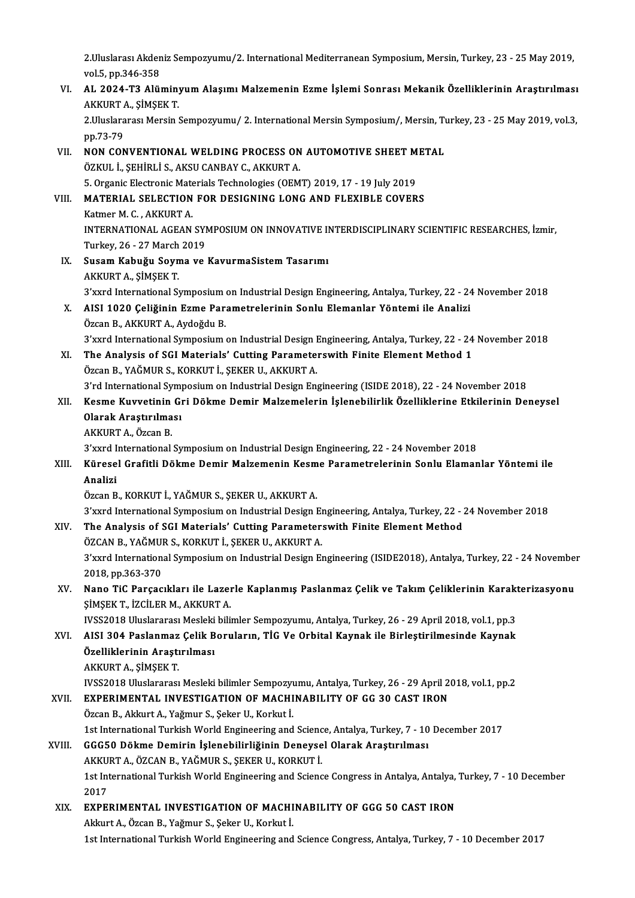2.Uluslarası Akdeniz Sempozyumu/2. International Mediterranean Symposium, Mersin, Turkey, 23 - 25 May 2019,<br>Vel 5. np 346.359 2.Uluslarası Akden<br>vol.5, pp.346-358<br>AL 2024 T2 Alü 2.Uluslarası Akdeniz Sempozyumu/2. International Mediterranean Symposium, Mersin, Turkey, 23 - 25 May 2019,<br>vol.5, pp.346-358<br>VI. AL 2024-T3 Alüminyum Alaşımı Malzemenin Ezme İşlemi Sonrası Mekanik Özelliklerinin Araşt

vol.5, pp.346-358<br>AL 2024-T3 Alüminy<br>AKKURT A., ŞİMŞEK T.<br>2 Huslanansa Marsin ( 2.Uluslararası Mersin Sempozyumu / 2. International Mersin Sonrası Mekanik Özelliklerinin Araştırılması<br>AKKURT A., ŞİMŞEK T.<br>2.Uluslararası Mersin Sempozyumu / 2. International Mersin Symposium /, Mersin, Turkey, 23 - 25 M

AKKURT<br>2.Uluslara<br>pp.73-79<br>NON COA

2.Uluslararası Mersin Sempozyumu/ 2. International Mersin Symposium/, Mersin, Tu<br>pp.73-79<br>VII. NON CONVENTIONAL WELDING PROCESS ON AUTOMOTIVE SHEET METAL<br>ÖZVIII. I. SEHIBLİ S. AKSU CANPAV C. AKKUPT A pp.73-79<br>NON CONVENTIONAL WELDING PROCESS ON<br>ÖZKUL İ., ŞEHİRLİ S., AKSU CANBAY C., AKKURT A.<br>5. Organis Electronic Materials Technologies (OEM NON CONVENTIONAL WELDING PROCESS ON AUTOMOTIVE SHEET M<br>ÖZKUL İ., ŞEHİRLİ S., AKSU CANBAY C., AKKURT A.<br>5. Organic Electronic Materials Technologies (OEMT) 2019, 17 - 19 July 2019<br>MATERIAL SELECTION EOR DESICNING LONG AND E ÖZKUL İ., ŞEHİRLİ S., AKSU CANBAY C., AKKURT A.<br>5. Organic Electronic Materials Technologies (OEMT) 2019, 17 - 19 July 2019<br>VIII. MATERIAL SELECTION FOR DESIGNING LONG AND FLEXIBLE COVERS<br>Katmer M. C. , AKKURT A. 5. Organic Electronic Materials Technologies (OEMT) 2019, 17 - 19 July 2019 MATERIAL SELECTION FOR DESIGNING LONG AND FLEXIBLE COVERS<br>Katmer M. C. , AKKURT A.<br>INTERNATIONAL AGEAN SYMPOSIUM ON INNOVATIVE INTERDISCIPLINARY SCIENTIFIC RESEARCHES, İzmir,<br>Turkay 26, 27 Marek 2019 Katmer M. C. , AKKURT A.<br>INTERNATIONAL AGEAN SY!<br>Turkey, 26 - 27 March 2019<br>Sugam Kabužu Souma ve INTERNATIONAL AGEAN SYMPOSIUM ON INNOVATIVE II<br>Turkey, 26 - 27 March 2019<br>IX. Susam Kabuğu Soyma ve KavurmaSistem Tasarımı<br>AKKUPT A. SİMSEK T Turkey, 26 - 27 March<br>Susam Kabuğu Soyn<br>AKKURT A., ŞİMŞEK T.<br><sup>2'</sup>''''''d International S Susam Kabuğu Soyma ve KavurmaSistem Tasarımı<br>AKKURT A., ŞİMŞEK T.<br>3'xxrd International Symposium on Industrial Design Engineering, Antalya, Turkey, 22 - 24 November 2018<br>AISI 1020 Celiğinin Erme Paramatralarının Sonlu Elem AKKURT A., ŞİMŞEK T.<br>3'xxrd International Symposium on Industrial Design Engineering, Antalya, Turkey, 22 - 24<br>X. AISI 1020 Çeliğinin Ezme Parametrelerinin Sonlu Elemanlar Yöntemi ile Analizi<br>Özcan B., AKKURT A., Aydoğ 3'xxrd International Symposium<br>AISI 1020 Çeliğinin Ezme Par:<br>Özcan B., AKKURT A., Aydoğdu B.<br><sup>2'nund</sup> International Symposium AISI 1020 Çeliğinin Ezme Parametrelerinin Sonlu Elemanlar Yöntemi ile Analizi<br>Özcan B., AKKURT A., Aydoğdu B.<br>3'xxrd International Symposium on Industrial Design Engineering, Antalya, Turkey, 22 - 24 November 2018<br>The Anal Özcan B., AKKURT A., Aydoğdu B.<br>3'xxrd International Symposium on Industrial Design Engineering, Antalya, Turkey, 22 - 24<br>XI. The Analysis of SGI Materials' Cutting Parameterswith Finite Element Method 1 3'xxrd International Symposium on Industrial Design I<br>The Analysis of SGI Materials' Cutting Paramete:<br>Özcan B., YAĞMUR S., KORKUT İ., ŞEKER U., AKKURT A.<br><sup>2'rd</sup> International Symposium on Industrial Design En 3'rd International Symposium on Industrial Parameters with Finite Element Method 1<br>Özcan B., YAĞMUR S., KORKUT İ., ŞEKER U., AKKURT A.<br>3'rd International Symposium on Industrial Design Engineering (ISIDE 2018), 22 - 24 Nov Özcan B., YAĞMUR S., KORKUT İ., ŞEKER U., AKKURT A.<br>3'rd International Symposium on Industrial Design Engineering (ISIDE 2018), 22 - 24 November 2018<br>XII. Kesme Kuvvetinin Gri Dökme Demir Malzemelerin İşlenebilirlik Öz **3'rd International Sympy<br>Kesme Kuvvetinin Gi<br>Olarak Araştırılması**<br>AKKUPT A. Özcan B Kesme Kuvvetinin<br>Olarak Araştırılma<br>AKKURT A., Özcan B.<br><sup>2'vurd International</sup> Olarak Araştırılması<br>AKKURT A., Özcan B.<br>3'xxrd International Symposium on Industrial Design Engineering, 22 - 24 November 2018<br>Küresel Crefitli Dölme Demir Melzemenin Kesme Peremetrelerinin Senlu Flamen AKKURT A., Özcan B.<br>3'xxrd International Symposium on Industrial Design Engineering, 22 - 24 November 2018<br>XIII. Küresel Grafitli Dökme Demir Malzemenin Kesme Parametrelerinin Sonlu Elamanlar Yöntemi ile<br>Analizi 3'xxrd I<br><mark>Kürese</mark><br>Analizi<br>Özcen B Özcan B., KORKUT İ., YAĞMUR S., ŞEKER U., AKKURT A. Analizi<br>Özcan B., KORKUT İ., YAĞMUR S., ŞEKER U., AKKURT A.<br>3'xxrd International Symposium on Industrial Design Engineering, Antalya, Turkey, 22 - 24 November 2018<br>The Analysia of SCI Matarials' Cutting Paramatarswith Eini Özcan B., KORKUT İ., YAĞMUR S., ŞEKER U., AKKURT A.<br>3'xxrd International Symposium on Industrial Design Engineering, Antalya, Turkey, 22 - 2<br>XIV. The Analysis of SGI Materials' Cutting Parameterswith Finite Element Met 3'xxrd International Symposium on Industrial Design El The Analysis of SGI Materials' Cutting Parameter:<br>ÖZCAN B., YAĞMUR S., KORKUT İ., ŞEKER U., AKKURT A.<br>2'yund International Symposium on Industrial Design Ex The Analysis of SGI Materials' Cutting Parameterswith Finite Element Method<br>ÖZCAN B., YAĞMUR S., KORKUT İ., ŞEKER U., AKKURT A.<br>3'xxrd International Symposium on Industrial Design Engineering (ISIDE2018), Antalya, Turkey, ÖZCAN B., YAĞMUI<br>3'xxrd Internation:<br>2018, pp.363-370<br>Nane Tif Barsas 3'xxrd International Symposium on Industrial Design Engineering (ISIDE2018), Antalya, Turkey, 22 - 24 November<br>2018, pp.363-370<br>XV. Nano TiC Parçacıkları ile Lazerle Kaplanmış Paslanmaz Çelik ve Takım Çeliklerinin Kara 2018, pp.363-370<br>Nano TiC Parçacıkları ile Lazeı<br>ŞİMŞEK T., İZCİLER M., AKKURT A.<br>WSS2019 Uluslaranası Maslaki bili Nano TiC Parçacıkları ile Lazerle Kaplanmış Paslanmaz Çelik ve Takım Çeliklerinin Karakt<br>ŞİMŞEK T., İZCİLER M., AKKURT A.<br>IVSS2018 Uluslararası Mesleki bilimler Sempozyumu, Antalya, Turkey, 26 - 29 April 2018, vol.1, pp.3<br> ŞİMŞEK T., İZCİLER M., AKKURT A.<br>IVSS2018 Uluslararası Mesleki bilimler Sempozyumu, Antalya, Turkey, 26 - 29 April 2018, vol.1, pp.3<br>XVI. AISI 304 Paslanmaz Çelik Boruların, TİG Ve Orbital Kaynak ile Birleştirilmesinde IVSS2018 Uluslararası Mesleki<br>AISI 304 Paslanmaz Çelik B<br>Özelliklerinin Araştırılması<br>AKKUPT A. SİMSEK T AISI 304 Paslanmaz<br>Özelliklerinin Araştı<br>AKKURT A., ŞİMŞEK T.<br>WSS2019 Uluslanarası Özelliklerinin Araştırılması<br>AKKURT A., ŞİMŞEK T.<br>IVSS2018 Uluslararası Mesleki bilimler Sempozyumu, Antalya, Turkey, 26 - 29 April 2018, vol.1, pp.2<br>EXPERIMENTAL INVESTICATION OF MACHINARILITY OF CC 30 CAST IRON AKKURT A., ŞİMŞEK T.<br>IVSS2018 Uluslararası Mesleki bilimler Sempozyumu, Antalya, Turkey, 26 - 29 April 2<br>XVII. EXPERIMENTAL INVESTIGATION OF MACHINABILITY OF GG 30 CAST IRON IVSS2018 Uluslararası Mesleki bilimler Sempozyu<br>**EXPERIMENTAL INVESTIGATION OF MACHI**<br>Özcan B., Akkurt A., Yağmur S., Şeker U., Korkut İ.<br>1st International Turkish World Engineering and EXPERIMENTAL INVESTIGATION OF MACHINABILITY OF GG 30 CAST IRON<br>Özcan B., Akkurt A., Yağmur S., Şeker U., Korkut İ.<br>1st International Turkish World Engineering and Science, Antalya, Turkey, 7 - 10 December 2017<br>CCCEO Dökme Özcan B., Akkurt A., Yağmur S., Şeker U., Korkut İ.<br>1st International Turkish World Engineering and Science, Antalya, Turkey, 7 - 10<br>XVIII. GGG50 Dökme Demirin İşlenebilirliğinin Deneysel Olarak Araştırılması<br>AKKURT A. 1st International Turkish World Engineering and Scienc<br>GGG50 Dökme Demirin İşlenebilirliğinin Deneyse<br>AKKURT A., ÖZCAN B., YAĞMUR S., ŞEKER U., KORKUT İ.<br>1st International Turkish World Engineering and Scienc GGG50 Dökme Demirin İşlenebilirliğinin Deneysel Olarak Araştırılması<br>AKKURT A., ÖZCAN B., YAĞMUR S., ŞEKER U., KORKUT İ.<br>1st International Turkish World Engineering and Science Congress in Antalya, Antalya, Turkey, 7 - 10 AKKU<br>1st Int<br>2017<br>EVPEI 1st International Turkish World Engineering and Science Congress in Antalya, Antalya,<br>2017<br>XIX. EXPERIMENTAL INVESTIGATION OF MACHINABILITY OF GGG 50 CAST IRON 2017<br>**EXPERIMENTAL INVESTIGATION OF MACHINABILITY OF GGG 50 CAST IRON**<br>Akkurt A., Özcan B., Yağmur S., Şeker U., Korkut İ. 1st International Turkish World Engineering and Science Congress, Antalya, Turkey, 7 - 10 December 2017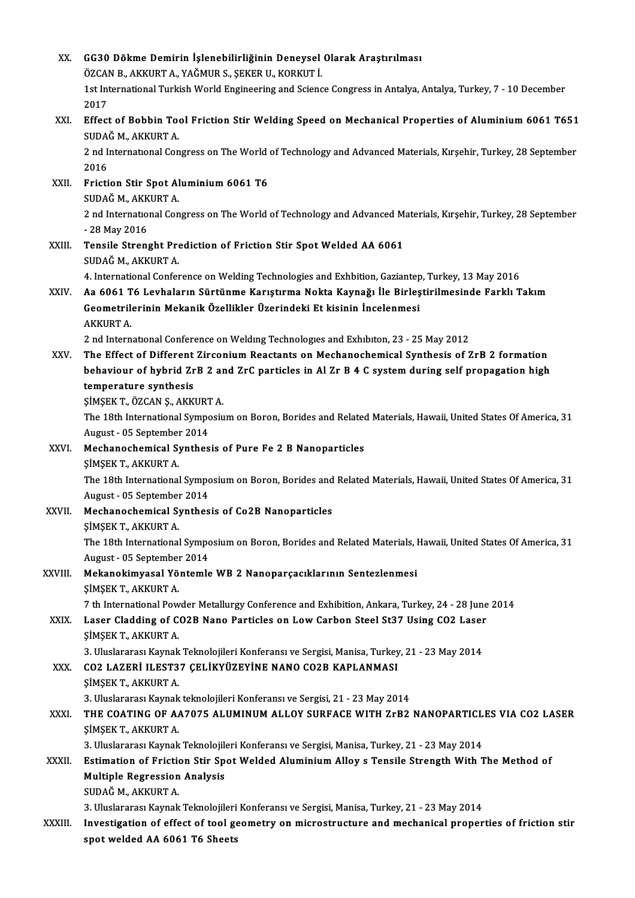| XX.     | GG30 Dökme Demirin İşlenebilirliğinin Deneysel Olarak Araştırılması                                                                                                                                   |
|---------|-------------------------------------------------------------------------------------------------------------------------------------------------------------------------------------------------------|
|         | ÖZCAN B., AKKURT A., YAĞMUR S., ŞEKER U., KORKUT İ.                                                                                                                                                   |
|         | 1st International Turkish World Engineering and Science Congress in Antalya, Antalya, Turkey, 7 - 10 December                                                                                         |
|         | 2017                                                                                                                                                                                                  |
| XXI.    | Effect of Bobbin Tool Friction Stir Welding Speed on Mechanical Properties of Aluminium 6061 T651                                                                                                     |
|         | SUDAĞ M., AKKURT A.                                                                                                                                                                                   |
|         | 2 nd International Congress on The World of Technology and Advanced Materials, Kirşehir, Turkey, 28 September                                                                                         |
|         | 2016                                                                                                                                                                                                  |
| XXII.   | Friction Stir Spot Aluminium 6061 T6                                                                                                                                                                  |
|         | SUDAĞ M., AKKURT A.                                                                                                                                                                                   |
|         | 2 nd International Congress on The World of Technology and Advanced Materials, Kirşehir, Turkey, 28 September                                                                                         |
|         | - 28 May 2016                                                                                                                                                                                         |
| XXIII.  | Tensile Strenght Prediction of Friction Stir Spot Welded AA 6061                                                                                                                                      |
|         | SUDAĞ M., AKKURT A.                                                                                                                                                                                   |
|         | 4. International Conference on Welding Technologies and Exhbition, Gaziantep, Turkey, 13 May 2016                                                                                                     |
| XXIV.   | Aa 6061 T6 Levhaların Sürtünme Karıştırma Nokta Kaynağı İle Birleştirilmesinde Farklı Takım                                                                                                           |
|         | Geometrilerinin Mekanik Özellikler Üzerindeki Et kisinin İncelenmesi                                                                                                                                  |
|         | <b>AKKURT A</b><br>2 nd International Conference on Welding Technologies and Exhibiton, 23 - 25 May 2012                                                                                              |
| XXV.    | The Effect of Different Zirconium Reactants on Mechanochemical Synthesis of ZrB 2 formation                                                                                                           |
|         | behaviour of hybrid ZrB 2 and ZrC particles in Al Zr B 4 C system during self propagation high                                                                                                        |
|         | temperature synthesis                                                                                                                                                                                 |
|         | ŞİMŞEK T., ÖZCAN Ş., AKKURT A.                                                                                                                                                                        |
|         | The 18th International Symposium on Boron, Borides and Related Materials, Hawaii, United States Of America, 31                                                                                        |
|         | August - 05 September 2014                                                                                                                                                                            |
| XXVI.   | Mechanochemical Synthesis of Pure Fe 2 B Nanoparticles                                                                                                                                                |
|         | ŞİMŞEK T., AKKURT A.                                                                                                                                                                                  |
|         | The 18th International Symposium on Boron, Borides and Related Materials, Hawaii, United States Of America, 31                                                                                        |
|         | August - 05 September 2014                                                                                                                                                                            |
| XXVII.  | Mechanochemical Synthesis of Co2B Nanoparticles                                                                                                                                                       |
|         | ŞİMŞEK T., AKKURT A.                                                                                                                                                                                  |
|         | The 18th International Symposium on Boron, Borides and Related Materials, Hawaii, United States Of America, 31<br>August - 05 September 2014                                                          |
| XXVIII. | Mekanokimyasal Yöntemle WB 2 Nanoparçacıklarının Sentezlenmesi                                                                                                                                        |
|         | ŞİMŞEK T., AKKURT A.                                                                                                                                                                                  |
|         | 7 th International Powder Metallurgy Conference and Exhibition, Ankara, Turkey, 24 - 28 June 2014                                                                                                     |
| XXIX.   | Laser Cladding of CO2B Nano Particles on Low Carbon Steel St37 Using CO2 Laser                                                                                                                        |
|         | ŞİMŞEK T., AKKURT A.                                                                                                                                                                                  |
|         | 3. Uluslararası Kaynak Teknolojileri Konferansı ve Sergisi, Manisa, Turkey, 21 - 23 May 2014                                                                                                          |
| XXX.    | CO2 LAZERİ ILEST37 ÇELİKYÜZEYİNE NANO CO2B KAPLANMASI                                                                                                                                                 |
|         | ŞİMŞEK T., AKKURT A.                                                                                                                                                                                  |
|         | 3. Uluslararası Kaynak teknolojileri Konferansı ve Sergisi, 21 - 23 May 2014                                                                                                                          |
| XXXI.   | THE COATING OF AA7075 ALUMINUM ALLOY SURFACE WITH ZrB2 NANOPARTICLES VIA CO2 LASER                                                                                                                    |
|         | ŞİMŞEK T., AKKURT A.                                                                                                                                                                                  |
|         | 3. Uluslararası Kaynak Teknolojileri Konferansı ve Sergisi, Manisa, Turkey, 21 - 23 May 2014                                                                                                          |
| XXXII.  | Estimation of Friction Stir Spot Welded Aluminium Alloy s Tensile Strength With The Method of                                                                                                         |
|         | <b>Multiple Regression Analysis</b>                                                                                                                                                                   |
|         | SUDAĞ M., AKKURT A.                                                                                                                                                                                   |
| XXXIII. | 3. Uluslararası Kaynak Teknolojileri Konferansı ve Sergisi, Manisa, Turkey, 21 - 23 May 2014<br>Investigation of effect of tool geometry on microstructure and mechanical properties of friction stir |
|         | spot welded AA 6061 T6 Sheets                                                                                                                                                                         |
|         |                                                                                                                                                                                                       |